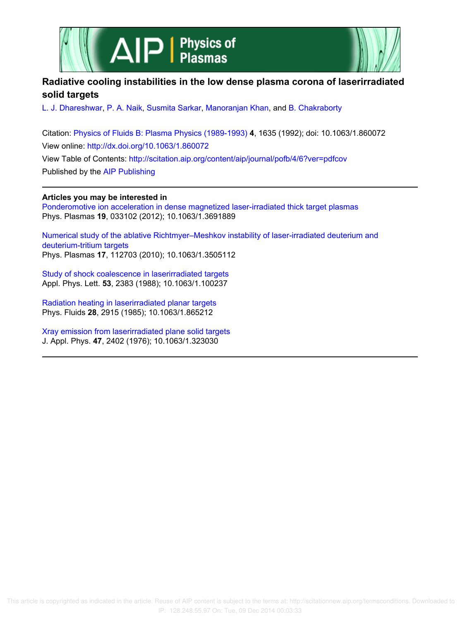



## **Radiative cooling instabilities in the low dense plasma corona of laserirradiated solid targets**

L. J. Dhareshwar, P. A. Naik, Susmita Sarkar, Manoranjan Khan, and B. Chakraborty

Citation: Physics of Fluids B: Plasma Physics (1989-1993) **4**, 1635 (1992); doi: 10.1063/1.860072 View online: http://dx.doi.org/10.1063/1.860072

View Table of Contents: http://scitation.aip.org/content/aip/journal/pofb/4/6?ver=pdfcov Published by the AIP Publishing

**Articles you may be interested in**

Ponderomotive ion acceleration in dense magnetized laser-irradiated thick target plasmas Phys. Plasmas **19**, 033102 (2012); 10.1063/1.3691889

Numerical study of the ablative Richtmyer–Meshkov instability of laser-irradiated deuterium and deuterium-tritium targets Phys. Plasmas **17**, 112703 (2010); 10.1063/1.3505112

Study of shock coalescence in laserirradiated targets Appl. Phys. Lett. **53**, 2383 (1988); 10.1063/1.100237

Radiation heating in laserirradiated planar targets Phys. Fluids **28**, 2915 (1985); 10.1063/1.865212

Xray emission from laserirradiated plane solid targets J. Appl. Phys. **47**, 2402 (1976); 10.1063/1.323030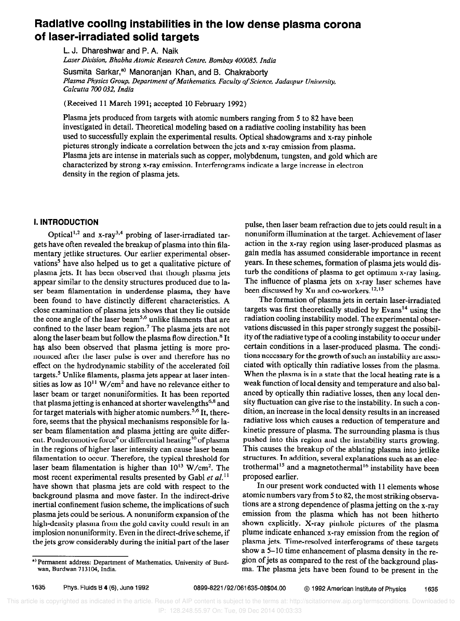# Radiative cooling instabilities in the low dense plasma corona of laser-irradiated solid targets

L. J. Dhareshwar and P. A. Naik Laser Division, Bhabha Atomic Research Centre, Bombay 400085, India

Susmita Sarkar,<sup>a)</sup> Manoranjan Khan, and B. Chakraborty Plasma Physics Group, Department of Mathematics, Faculty of Science, Jadavpur University, Calcutta 700 032, India

(Received 11 March 1991; accepted 10 February 1992)

Plasma jets produced from targets with atomic numbers ranging from 5 to 82 have been investigated in detail. Theoretical modeling based on a radiative cooling instability has been used to successfully explain the experimental results. Optical shadowgrams and x-ray pinhole pictures strongly indicate a correlation between the jets and x-ray emission from plasma. Plasma jets are intense in materials such as copper, molybdenum, tungsten, and gold which are characterized by strong x-ray emission. Interferograms indicate a large increase in electron density in the region of plasma jets.

### I. INTRODUCTION

Optical<sup>1,2</sup> and x-ray<sup>3,4</sup> probing of laser-irradiated targets have often revealed the breakup of plasma into thin filamentary jetlike structures. Our earlier experimental observations' have also helped us to get a qualitative picture of plasma jets. It has been observed that though plasma jets appear similar to the density structures produced due to laser beam filamentation in underdense plasma, they have been found to have distinctly different characteristics. A close examination of plasma jets shows that they lie outside the cone angle of the laser beam<sup>5,6</sup> unlike filaments that are confined to the laser beam region.<sup>7</sup> The plasma jets are not along the laser beam but follow the plasma flow direction.<sup>8</sup> It has also been observed that plasma jetting is more pronounced after the laser pulse is over and therefore has no effect on the hydrodynamic stability of the accelerated foil targets.<sup>5</sup> Unlike filaments, plasma jets appear at laser intensities as low as  $10^{11}$  W/cm<sup>2</sup> and have no relevance either to laser beam or target nonuniformities. It has been reported that plasma jetting is enhanced at shorter wavelengths<sup>6,8</sup> and for target materials with higher atomic numbers.<sup>5,6</sup> It, therefore, seems that the physical mechanisms responsible for laser beam filamentation and plasma jetting are quite different. Ponderomotive force<sup>9</sup> or differential heating<sup>10</sup> of plasma in the regions of higher laser intensity can cause laser beam filamentation to occur. Therefore, the typical threshold for laser beam filamentation is higher than  $10^{13}$  W/cm<sup>2</sup>. The most recent experimental results presented by Gabl et  $al$ .<sup>11</sup> have shown that plasma jets are cold with respect to the background plasma and move faster. In the indirect-drive inertial confinement fusion scheme, the implications of such plasma jets could be serious. A nonuniform expansion of the high-density plasma from the gold cavity could result in an implosion nonuniformity. Even in the direct-drive scheme, if the jets grow considerably during the initial part of the laser

pulse, then laser beam refraction due to jets could result in a nonuniform illumination at the target. Achievement of laser action in the x-ray region using laser-produced plasmas as gain media has assumed considerable importance in recent years. In these schemes, formation of plasma jets would disturb the conditions of plasma to get optimum x-ray lasing. The influence of plasma jets on x-ray laser schemes have been discussed by Xu and co-workers. $12,13$ 

The formation of plasma jets in certain laser-irradiated targets was first theoretically studied by Evans<sup>14</sup> using the radiation cooling instability model. The experimental observations discussed in this paper strongly suggest the possibility of the radiative type of a cooling instability to occur under certain conditions in a laser-produced plasma. The conditions necessary for the growth of such an instability are associated with optically thin radiative losses from the plasma. When the plasma is in a state that the local heating rate is a weak function of local density and temperature and also balanced by optically thin radiative losses, then any local density fluctuation can give rise to the instability. In such a condition, an increase in the local density results in an increased radiative loss which causes a reduction of temperature and kinetic pressure of plasma. The surrounding plasma is thus pushed into this region and the instability starts growing. This causes the breakup of the ablating plasma into jetlike structures. In addition, several explanations such as an electrothermal<sup>15</sup> and a magnetothermal<sup>16</sup> instability have been proposed earlier.

In our present work conducted with 11 elements whose atomic numbers vary from 5 to 82, the most striking observations are a strong dependence of plasma jetting on the x-ray emission from the plasma which has not been hitherto shown explicitly. X-ray pinhole pictures of the plasma plume indicate enhanced x-ray emission from the region of plasma jets. Time-resolved interferograms of these targets show a 5-10 time enhancement of plasma density in the region of jets as compared to the rest of the background plasma. The plasma jets have been found to be present in the

1635 Phys. Fluids B 4 (6), June 1992 0899-8221/92/061635-08\$04.00 @ 1992 American Institute of Physics 1635

<sup>\*)</sup> Permanent address: Department of Mathematics, University of Burdwan, Burdwan 713104, India.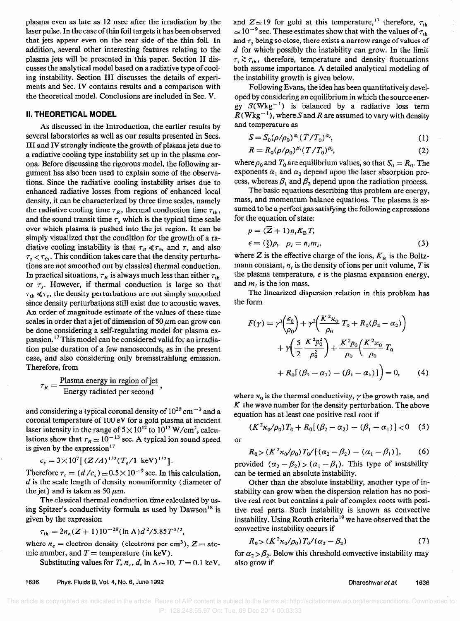plasma even as late as 12 nsec after the irradiation by the laser pulse. In the case of thin foil targets it has been observed that jets appear even on the rear side of the thin foil. In addition, several other interesting features relating to the plasma jets will be presented in this paper. Section II discusses the analytical model based on a radiative type of cooling instability. Section III discusses the details of experiments and Sec. IV contains results and a comparison with the theoretical model. Conclusions are included in Sec. V.

#### ii. THEORETICAL MODEL

As discussed in the Introduction, the earlier results by several laboratories as well as our results presented in Secs. III and IV strongly indicate the growth of plasma jets due to a radiative cooling type instability set up in the plasma corona. Before discussing the rigorous model, the following argument has also been used to explain some of the observations. Since the radiative cooling instability arises due to enhanced radiative losses from regions of enhanced local density, it can be characterized by three time scales, namely the radiative cooling time  $\tau_R$ , thermal conduction time  $\tau_{\text{th}}$ , and the sound transit time  $\tau_s$  which is the typical time scale over which plasma is pushed into the jet region. It can be simply visualized that the condition for the growth of a radiative cooling instability is that  $\tau_R \ll \tau_{\text{th}}$  and  $\tau_s$  and also  $\tau_s < \tau_{\text{th}}$ . This condition takes care that the density perturbations are not smoothed out by classical thermal conduction. In practical situations,  $\tau_R$  is always much less than either  $\tau_{\text{th}}$ or  $\tau_s$ . However, if thermal conduction is large so that  $\tau_{th} \ll \tau_s$ , the density perturbations are not simply smoothed since density perturbations still exist due to acoustic waves. An order of magnitude estimate of the values of these time scales in order that a jet of dimension of 50  $\mu$ m can grow can be done considering a self-regulating model for plasma expansion.<sup>17</sup> This model can be considered valid for an irradiation pulse duration of a few nanoseconds, as in the present case, and also considering only bremsstrahlung emission. Therefore, from

$$
\tau_R = \frac{\text{Plasma energy in region of jet}}{\text{Energy radiated per second}},
$$

and considering a typical coronal density of  $10^{20}$  cm<sup>-3</sup> and a coronal temperature of 100 eV for a gold plasma at incident laser intensity in the range of  $5 \times 10^{12}$  to  $10^{13}$  W/cm<sup>2</sup>, calculations show that  $\tau_R \approx 10^{-13}$  sec. A typical ion sound speed is given by the expression $17$ 

$$
c_s = 3 \times 10^7 \left[ (Z/A)^{1/2} (T_e/1 \text{ keV})^{1/2} \right].
$$

Therefore  $\tau_s = (d/c_s) \approx 0.5 \times 10^{-9}$  sec. In this calculation,  $d$  is the scale length of density nonuniformity (diameter of the jet) and is taken as 50  $\mu$ m.

The classical thermal conduction time calculated by using Spitzer's conductivity formula as used by  $Dawson<sup>18</sup>$  is given by the expression

$$
\tau_{\rm th} = 2n_e(Z+1)10^{-28}(\ln \Lambda)d^2/5.85T^{5/2},
$$

where  $n_e$  = electron density (electrons per cm<sup>3</sup>),  $Z =$  atomic number, and  $T =$  temperature (in keV).

Substituting values for T,  $n_e$ , d,  $\ln \Lambda \approx 10$ ,  $T = 0.1$  keV,

and  $Z \approx 19$  for gold at this temperature,<sup>17</sup> therefore,  $\tau_{\text{th}}$  $\approx 10^{-9}$  sec. These estimates show that with the values of  $\tau_{\text{th}}$ and  $\tau_s$  being so close, there exists a narrow range of values of  $d$  for which possibly the instability can grow. In the limit  $\tau_s \gtrsim \tau_{th}$ , therefore, temperature and density fluctuations both assume importance. A detailed analytical modeling of the instability growth is given below.

Following Evans, the idea has been quantitatively developed by considering an equilibrium in which the source energy  $S(Wkg^{-1})$  is balanced by a radiative loss term  $R(\text{Wkg}^{-1})$ , where S and R are assumed to vary with density and temperature as

$$
S = S_0(\rho/\rho_0)^{\alpha_1} (T/T_0)^{\alpha_2}, \tag{1}
$$

$$
R = R_0(\rho/\rho_0)^{\beta_1} (T/T_0)^{\beta_2},\tag{2}
$$

where  $\rho_0$  and  $T_0$  are equilibrium values, so that  $S_0 = R_0$ . The exponents  $\alpha_1$  and  $\alpha_2$  depend upon the laser absorption process, whereas  $\beta_1$  and  $\beta_2$  depend upon the radiation process.

The basic equations describing this problem are energy, mass, and momentum balance equations. The plasma is assumed to be a perfect gas satisfying the following expressions for the equation of state:

$$
p = (\overline{Z} + 1)n_i K_{\text{B}} T,
$$
  
\n
$$
\epsilon = (\frac{3}{2})p, \quad p_i = n_i m_i,
$$
\n(3)

where Z is the effective charge of the ions,  $K_{\rm B}$  is the Boltzmann constant,  $n_i$  is the density of ions per unit volume, T is the plasma temperature,  $\epsilon$  is the plasma expansion energy, and  $m_i$  is the ion mass.

The linearized dispersion relation in this problem has the form

$$
F(\gamma) = \gamma^3 \left(\frac{\epsilon_0}{\rho_0}\right) + \gamma^2 \left(\frac{K^2 \kappa_0}{\rho_0} T_0 + R_0 (\beta_2 - \alpha_2)\right) + \gamma \left(\frac{5}{2} \frac{K^2 p_0^2}{\rho_0^2}\right) + \frac{K^2 p_0}{\rho_0} \left(\frac{K^2 \kappa_0}{\rho_0} T_0 + R_0 [(\beta_2 - \alpha_2) - (\beta_1 - \alpha_1)]\right) = 0,
$$
 (4)

where  $x_0$  is the thermal conductivity,  $\gamma$  the growth rate, and  $K$  the wave number for the density perturbation. The above equation has at least one positive real root if

$$
(K^{2} \alpha_{0} / \rho_{0}) T_{0} + R_{0} [(\beta_{2} - \alpha_{2}) - (\beta_{1} - \alpha_{1})] < 0 \quad (5)
$$

or

$$
R_0 > (K^2 \times \sqrt{\rho_0}) T_0 / [( \alpha_2 - \beta_2) - (\alpha_1 - \beta_1)], \qquad (6)
$$

provided  $(\alpha_2 - \beta_2) > (\alpha_1 - \beta_1)$ . This type of instability can be termed an absolute instability.

Other than the absolute instability, another type of instability can grow when the dispersion relation has no positive real root but contains a pair of complex roots with positive real parts. Such instability is known as convective instability. Using Routh criteria<sup>19</sup> we have observed that the convective instability occurs if

$$
R_0 > (K^2 \times \sqrt{\rho_0}) T_0 / (\alpha_2 - \beta_2)
$$
 (7)

for  $\alpha_2 > \beta_2$ . Below this threshold convective instability may also grow if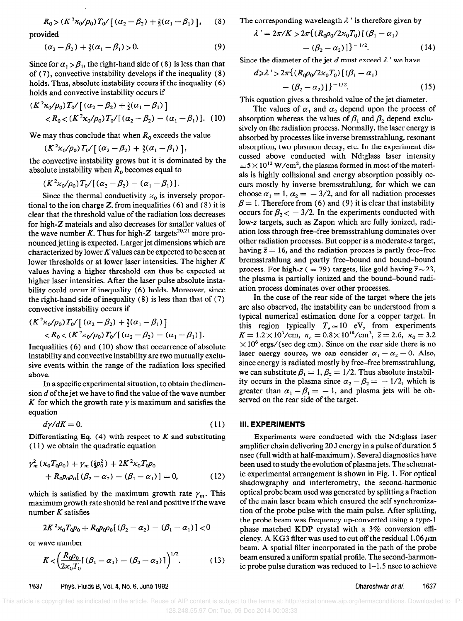$$
R_0 > (K^2 \times \sqrt{\rho_0}) T_0 / [( \alpha_2 - \beta_2) + \frac{3}{2} (\alpha_1 - \beta_1)], \quad (8)
$$

provided

$$
(\alpha_2 - \beta_2) + \frac{3}{2}(\alpha_1 - \beta_1) > 0. \tag{9}
$$

Since for  $\alpha_1 > \beta_1$ , the right-hand side of (8) is less than that of (7), convective instability develops if the inequality (8) holds. Thus, absolute instability occurs if the inequality (6) holds and convective instability occurs if

$$
(K^{2}x_{0}/\rho_{0})T_{0}/[(\alpha_{2}-\beta_{2})+\frac{3}{2}(\alpha_{1}-\beta_{1})] K_{0}<(K^{2}x_{0}/\rho_{0})T_{0}/[(\alpha_{2}-\beta_{2})-(\alpha_{1}-\beta_{1})].
$$
 (10)

We may thus conclude that when  $R_0$  exceeds the value

$$
(K^{2} \chi_{0} / \rho_{0}) T_{0} / [( \alpha_{2} - \beta_{2}) + \frac{3}{2} ( \alpha_{1} - \beta_{1} ) ],
$$

the convective instability grows but it is dominated by the absolute instability when  $R_0$  becomes equal to

$$
(K^{2} \kappa_{0} / \rho_{0}) T_{0} / [( \alpha_{2} - \beta_{2}) - (\alpha_{1} - \beta_{1}) ].
$$

Since the thermal conductivity  $x_0$  is inversely proportional to the ion charge  $Z$ , from inequalities (6) and (8) it is clear that the threshold value of the radiation loss decreases for high-2 mateials and also decreases for smaller values of the wave number K. Thus for high-Z targets<sup>20,21</sup> more pronounced jetting is expected. Larger jet dimensions which are characterized by lower  $K$  values can be expected to be seen at lower thresholds or at lower laser intensities. The higher  $K$ values having a higher threshold can thus be expected at higher laser intensities. After the laser pulse absolute instability could occur if inequality (6) holds. Moreover, since the right-hand side of inequality (8) is less than that of (7) convective instability occurs if

$$
(K^{2} \times_{0} \rho_{0}) T_{0} / [( \alpha_{2} - \beta_{2}) + \frac{3}{2} ( \alpha_{1} - \beta_{1} ) ]
$$
  

$$
< R_{0} < (K^{2} \times_{0} \rho_{0}) T_{0} / [ (\alpha_{2} - \beta_{2}) - (\alpha_{1} - \beta_{1} ) ].
$$

Inequalities (6) and ( 10) show that occurrence of absolute instability and convective instability are two mutually exclusive events within the range of the radiation loss specified above.

In a specific experimental situation, to obtain the dimension d of the jet we have to find the value of the wave number K for which the growth rate  $\gamma$  is maximum and satisfies the equation

$$
d\gamma/dK = 0.\t(11)
$$

Differentiating Eq.  $(4)$  with respect to K and substituting ( 11) we obtain the quadratic equation

$$
\gamma_m^2 (x_0 T_0 \rho_0) + \gamma_m (\frac{5 \rho_0^2}{2}) + 2K^2 x_0 T_0 \rho_0
$$
  
+  $R_0 \rho_0 \rho_0 [(\beta_2 - \alpha_2) - (\beta_1 - \alpha_1)] = 0,$  (12)

which is satisfied by the maximum growth rate  $\gamma_m$ . This maximum growth rate should be real and positive if the wave number  $K$  satisfies

$$
2K^{2} \kappa_{0} T_{0} p_{0} + R_{0} p_{0} \rho_{0} \left[ (\beta_{2} - \alpha_{2}) - (\beta_{1} - \alpha_{1}) \right] < 0
$$

or wave number

$$
K < \left(\frac{R_0\rho_0}{2\alpha_0T_0}[(\beta_1-\alpha_1)-(\beta_2-\alpha_2)]\right)^{1/2}.
$$
 (13)

The corresponding wavelength  $\lambda'$  is therefore given by

$$
\lambda' = 2\pi/K > 2\pi \{ (R_0 \rho_0 / 2\kappa_0 T_0) \} (\beta_1 - \alpha_1) - (\beta_2 - \alpha_2) \}^{-1/2}.
$$
 (14)

Since the diameter of the jet d must exceed  $\lambda'$  we have

$$
d \geq \lambda' > 2\pi \{ (R_0 \rho_0 / 2x_0 T_0) \} (\beta_1 - \alpha_1)
$$
  
-(\beta\_2 - \alpha\_2) ]<sup>2</sup>-(15)

This equation gives a threshold value of the jet diameter.

The values of  $\alpha_1$  and  $\alpha_2$  depend upon the process of absorption whereas the values of  $\beta_1$  and  $\beta_2$  depend exclusively on the radiation process. Normally, the laser energy is absorbed by processes like inverse bremsstrahlung, resonant absorption, two plasmon decay, etc. In the experiment discussed above conducted with Nd:glass laser intensity  $\approx$  5  $\times$  10<sup>12</sup> W/cm<sup>2</sup>, the plasma formed in most of the materials is highly collisional and energy absorption possibly occurs mostly by inverse bremsstrahlung, for which we can choose  $\alpha_1 = 1$ ,  $\alpha_2 = -3/2$ , and for all radiation processes  $\beta = 1$ . Therefore from (6) and (9) it is clear that instability occurs for  $\beta_2 < -3/2$ . In the experiments conducted with low-z targets, such as Zapon which are fully ionized, radiation loss through free-free bremsstrahlung dominates over other radiation processes. But copper is a moderate-z target, having  $\bar{z} = 16$ , and the radiation process is partly free-free bremsstrahlung and partly free-bound and bound-bound process. For high-z ( = 79) targets, like gold having  $\overline{z} \approx 23$ , the plasma is partially ionized and the bound-bound radiation process dominates over other processes.

In the case of the rear side of the target where the jets are also observed, the instability can be understood from a typical numerical estimation done for a copper target. In this region typically  $T_e \approx 10$  eV, from experiments  $K = 1.2 \times 10^3$ /cm,  $n_e = 0.8 \times 10^{18}$ /cm<sup>3</sup>,  $\overline{z} = 2.6$ ,  $x_0 = 3.2$  $\times$  10<sup>6</sup> ergs/(sec deg cm). Since on the rear side there is no laser energy source, we can consider  $\alpha_1 = \alpha_2 = 0$ . Also, since energy is radiated mostly by free-free bremsstrahlung, we can substitute  $\beta_1 = 1$ ,  $\beta_2 = 1/2$ . Thus absolute instability occurs in the plasma since  $\alpha_2 - \beta_2 = -1/2$ , which is greater than  $\alpha_1 - \beta_1 = -1$ , and plasma jets will be observed on the rear side of the target.

#### III. EXPERIMENTS

Experiments were conducted with the Nd:glass laser amplifier chain delivering 20 J energy in a pulse of duration 5 nsec (full width at half-maximum). Several diagnostics have been used to study the evolution of plasma jets. The schematic experimental arrangement is shown in Fig. 1. For optical shadowgraphy and interferometry, the second-harmonic optical probe beam used was generated by splitting a fraction of the main laser beam which ensured the self synchronization of the probe pulse with the main pulse. After splitting, the probe beam was frequency up-converted using a type-l phase matched KDP crystal with a 3% conversion efficiency. A KG3 filter was used to cut off the residual  $1.06 \,\mu\mathrm{m}$ beam. A spatial filter incorporated in the path of the probe beam ensured a uniform spatial profile. The second-harmonic probe pulse duration was reduced to l-l.5 nsec to achieve

1637 Phys. Fluids B, Vol. 4, No. 6, June 1992 **Dhareshwar ef al.** f637

 This article is copyrighted as indicated in the article. Reuse of AIP content is subject to the terms at: http://scitationnew.aip.org/termsconditions. Downloaded to IP: 128.248.55.97 On: Tue, 09 Dec 2014 00:03:33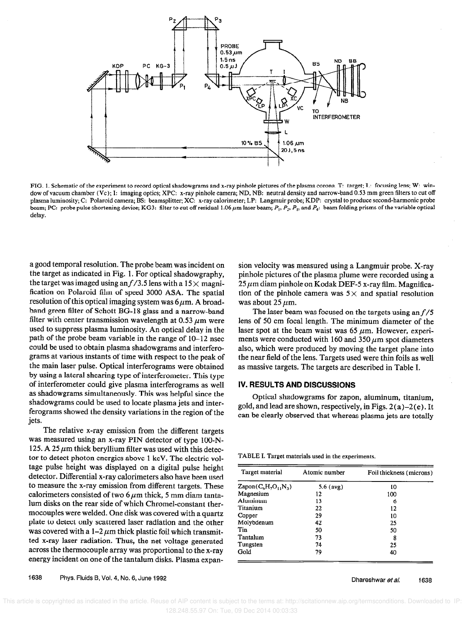

FIG. 1. Schematic of the experiment to record optical shadowgrams and x-ray pinhole pictures of the plasma corona. T: target; L: focusing lens; W: window of vacuum chamber (Vc); I: imaging optics; XPC: x-ray pinhole camera; ND, NB: neutral density and narrow-band 0.53 mm green filters to cut off plasma luminosity; C: Polaroid camera; BS: beamsplitter: XC: x-ray calorimeter; LP: Langmuirprobe, KDP: crystal to produce second-harmonic probe beam; PC: probe pulse shortening device; KG3: filter to cut off residual 1.06  $\mu$ m laser beam;  $P_1$ ,  $P_2$ ,  $P_3$ , and  $P_4$ : beam folding prisms of the variable optical delay.

a good temporal resolution. The probe beam was incident on the target as indicated in Fig. 1. For optical shadowgraphy, the target was imaged using an  $f/3.5$  lens with a  $15\times$  magnification on Polaroid iilm of speed 3000 ASA. The spatial resolution of this optical imaging system was  $6 \mu m$ . A broadband green filter of Schott BG-I8 glass and a narrow-band filter with center transmission wavelength at 0.53  $\mu$ m were used to suppress plasma luminosity. An optical delay in the path of the probe beam variable in the range of 10-12 nsec could be used to obtain plasma shadowgrams and interferograms at various instants of time with respect to the peak of the main laser pulse. Optical interferograms were obtained by using a lateral shearing type of interferometer. This type of interferometer could give plasma interferograms as well as shadowgrams simultaneously. This was helpful since the shadowgrams could be used to locate plasma jets and interferograms showed the density variations in the region of the jets.

The relative x-ray emission from the different targets was measured using an x-ray PIN detector of type 100-N-125. A 25  $\mu$ m thick beryllium filter was used with this detector to detect photon energies above 1 keV. The electric voltage pulse height was displayed on a digital pulse height detector. Differential x-ray calorimeters also have been used to measure the x-ray emission from different targets. These calorimeters consisted of two  $6 \mu m$  thick, 5 mm diam tantalum disks on the rear side of which Chromel-constant thermocouples were welded. One disk was covered with a quartz plate to detect only scattered laser radiation and the other was covered with a  $1-2 \mu m$  thick plastic foil which transmitted x-ray laser radiation. Thus, the net voltage generated across the thermocouple array was proportional to the x-ray energy incident on one of the tantalum disks. Plasma expan-

1638 Phys. Fluids B, Vol. 4, No. 6, June 1992 **Dhareshwar eta, 2008** Dhareshwar eta, 2008

sion velocity was measured using a Langmuir probe. X-ray pinhole pictures of the plasma plume were recorded using a  $25 \mu$ m diam pinhole on Kodak DEF-5 x-ray film. Magnification of the pinhole camera was  $5\times$  and spatial resolution was about 25  $\mu$ m.

The laser beam was focused on the targets using an  $f/5$ lens of 50 cm focal length. The minimum diameter of the laser spot at the beam waist was 65  $\mu$ m. However, experiments were conducted with 160 and 350  $\mu$ m spot diameters also, which were produced by moving the target plane into the near field of the lens. Targets used were thin foils as well as massive targets. The targets are described in Table I.

#### **IV. RESULTS AND DISCUSSIONS**

Optical shadowgrams for zapon, aluminum, titanium, gold, and lead are shown, respectively, in Figs.  $2(a)-2(e)$ . It can be clearly observed that whereas plasma jets are totally

| Target material                 | Atomic number | Foil thickness (microns) |
|---------------------------------|---------------|--------------------------|
| $\text{Zapon}(C_6H_7O_{11}N_3)$ | $5.6$ (avg)   | 10                       |
| Magnesium                       | 12            | 100                      |
| Aluminum                        | 13            | 6                        |
| Titanium                        | 22            | 12                       |
| Copper                          | 29            | 10                       |
| Molybdenum                      | 42            | 25                       |
| Tin                             | 50            | 50                       |
| Tantalum                        | 73            | 8                        |
| Tungsten                        | 74            | 25                       |
| Gold                            | 79            | 40                       |

TABLE I. Target materials used in the experiments.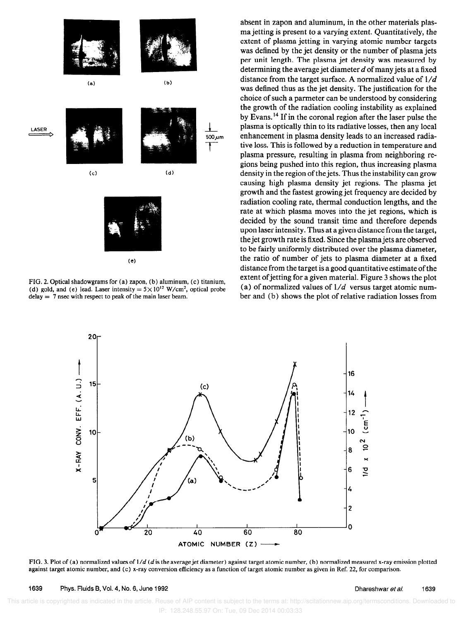

FIG. 2. Optical shadowgrams for (a) zapon, (b) aluminum, (c) titanium, (d) gold, and (e) lead. Laser intensity =  $5 \times 10^{12}$  W/cm<sup>2</sup>, optical probe  $delay = 7$  nsec with respect to peak of the main laser beam.

absent in zapon and aluminum, in the other materials plasma jetting is present to a varying extent. Quantitatively, the extent of plasma jetting in varying atomic number targets was defined by the jet density or the number of plasma jets per unit length. The plasma jet density was measured by determining the average jet diameter  $d$  of many jets at a fixed distance from the target surface. A normalized value of  $1/d$ was defined thus as the jet density. The justification for the choice of such a parmeter can be understood by considering the growth of the radiation cooling instability as explained by Evans.<sup>14</sup> If in the coronal region after the laser pulse the plasma is optically thin to its radiative losses, then any local enhancement in plasma density leads to an increased radiative loss. This is followed by a reduction in temperature and plasma pressure, resulting in plasma from neighboring regions being pushed into this region, thus increasing plasma density in the region of the jets. Thus the instability can grow causing high plasma density jet regions. The plasma jet growth and the fastest growing jet frequency are decided by radiation cooling rate, thermal conduction lengths, and the rate at which plasma moves into the jet regions, which is decided by the sound transit time and therefore depends upon laser intensity. Thus at a given distance from the target, the jet growth rate is fixed. Since the plasma jets are observed to be fairly uniformly distributed over the plasma diameter, the ratio of number of jets to plasma diameter at a fixed distance from the target is a good quantitative estimate of the extent of jetting for a given material. Figure 3 shows the plot (a) of normalized values of  $1/d$  versus target atomic number and (b) shows the plot of relative radiation losses from



FIG. 3. Plot of (a) normalized values of l/d (dis the average jet diameter) against target atomic number, (b) normalized measured x-ray emission plotted against target atomic number, and (c) x-ray conversion efficiency as a function of target atomic number as given in Ref. 22, for comparison.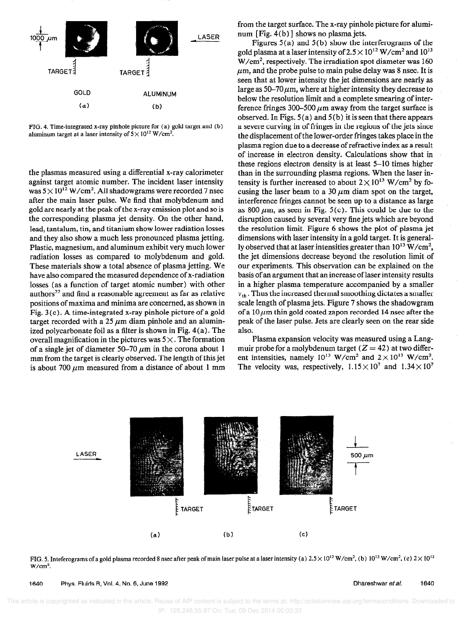

FIG. 4. Time-integrated x-ray pinhole picture for (a) gold target and (b) aluminum target at a laser intensity of  $5 \times 10^{12}$  W/cm<sup>2</sup>.

the plasmas measured using a differential x-ray calorimeter against target atomic number. The incident laser intensity was  $5 \times 10^{12}$  W/cm<sup>2</sup>. All shadowgrams were recorded 7 nsec after the main laser pulse. We find that molybdenum and gold are nearly at the peak of the x-ray emission plot and so is the corresponding plasma jet density. On the other hand, lead, tantalum, tin, and titanium show lower radiation losses and they also show a much less pronounced plasma jetting. Plastic, magnesium, and aluminum exhibit very much lower radiation losses as compared to molybdenum and gold. These materials show a total absence of plasma jetting. We have also compared the measured dependence of x-radiation losses (as a function of target atomic number) with other authors<sup>22</sup> and find a reasonable agreement as far as relative positions of maxima and minima are concerned, as shown in Fig.  $3(c)$ . A time-integrated x-ray pinhole picture of a gold target recorded with a 25  $\mu$ m diam pinhole and an aluminized polycarbonate foil as a filter is shown in Fig. 4(a). The overall magnification in the pictures was  $5 \times$ . The formation of a single jet of diameter 50–70  $\mu$ m in the corona about 1 mm from the target is clearly observed. The length of this jet is about 700  $\mu$ m measured from a distance of about 1 mm from the target surface. The x-ray pinhole picture for aluminum [Fig. 4(b) ] shows no plasma jets.

Figures  $5(a)$  and  $5(b)$  show the interferograms of the gold plasma at a laser intensity of  $2.5 \times 10^{12}$  W/cm<sup>2</sup> and  $10^{13}$ W/cm2, respectively. The irradiation spot diameter was 160  $\mu$ m, and the probe pulse to main pulse delay was 8 nsec. It is seen that at lower intensity the jet dimensions are nearly as large as  $50-70 \mu m$ , where at higher intensity they decrease to below the resolution limit and a complete smearing of interference fringes 300–500  $\mu$ m away from the target surface is observed. In Figs.  $5(a)$  and  $5(b)$  it is seen that there appears a severe curving in of fringes in the regions of the jets since the displacement of the lower-order fringes takes place in the plasma region due to a decrease of refractive index as a result of increase in electron density. Calculations show that in these regions electron density is at least 5-10 times higher than in the surrounding plasma regions. When the laser intensity is further increased to about  $2 \times 10^{13}$  W/cm<sup>2</sup> by focusing the laser beam to a 30  $\mu$ m diam spot on the target, interference fringes cannot be seen up to a distance as large as 800  $\mu$ m, as seen in Fig. 5(c). This could be due to the disruption caused by several very fine jets which are beyond the resolution limit. Figure 6 shows the plot of plasma jet dimensions with laser intensity in a gold target. It is generally observed that at laser intensities greater than  $10^{13}$  W/cm<sup>2</sup>, the jet dimensions decrease beyond the resolution limit of our experiments. This observation can be explained on the basis of an argument that an increase of laser intensity results in a higher plasma temperature accompanied by a smaller  $\tau_{th}$ . Thus the increased thermal smoothing dictates a smaller scale length of plasma jets. Figure 7 shows the shadowgram of a  $10 \mu$ m thin gold coated zapon recorded 14 nsec after the peak of the laser pulse. Jets are clearly seen on the rear side also.

Plasma expansion velocity was measured using a Langmuir probe for a molybdenum target  $(Z = 42)$  at two different intensities, namely  $10^{13}$  W/cm<sup>2</sup> and  $2 \times 10^{13}$  W/cm<sup>2</sup>. The velocity was, respectively,  $1.15 \times 10^7$  and  $1.34 \times 10^7$ 



FIG. 5. Inteferograms of a gold plasma recorded 8 nsec after peak of main laser pulse at a laser intensity (a)  $2.5 \times 10^{12}$  W/cm<sup>2</sup>, (b)  $10^{13}$  W/cm<sup>2</sup>, (c)  $2 \times 10^{13}$  $W/cm<sup>2</sup>$ .

1640 Phys. Fluids B, Vol. 4, No. 6, June 1992 **Dhareshwar et al.** 1640

 This article is copyrighted as indicated in the article. Reuse of AIP content is subject to the terms at: http://scitationnew.aip.org/termsconditions. Downloaded to IP: 128.248.55.97 On: Tue, 09 Dec 2014 00:03:33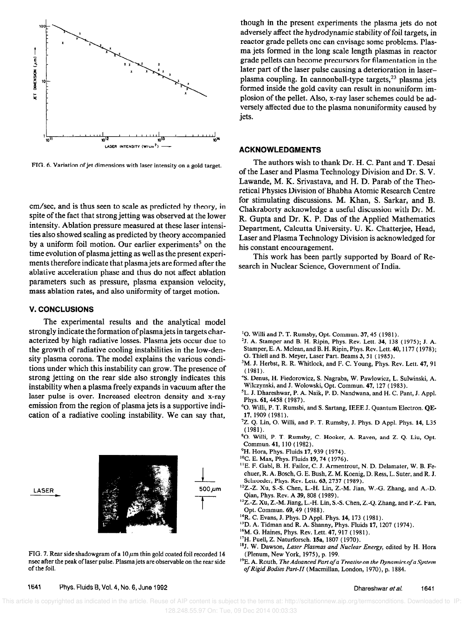

FIG. 6. Variation of jet dimensions with laser intensity on a gold target.

cm/set, and is thus seen to scale as predicted by theory, in spite of the fact that strong jetting was observed at the lower intensity. Ablation pressure measured at these laser intensities also showed scaling as predicted by theory accompanied by a uniform foil motion. Our earlier experiments<sup>5</sup> on the time evolution of plasma jetting as well as the present experiments therefore indicate that plasma jets are formed after the ablative acceleration phase and thus do not affect ablation parameters such as pressure, plasma expansion velocity, mass ablation rates, and also uniformity of target motion.

#### V. CONCLUSIONS

The experimental results and the analytical model strongly indicate the formation of plasma jets in targets characterized by high radiative losses. Plasma jets occur due to the growth of radiative cooling instabilities in the low-density plasma corona. The model explains the various conditions under which this instability can grow. The presence of strong jetting on the rear side also strongly indicates this instability when a plasma freely expands in vacuum after the laser pulse is over. Increased electron density and x-ray emission from the region of plasma jets is a supportive indication of a radiative cooling instability. We can say that,

LASER

c



500 um

FIG. 7. Rear side shadowgram of a  $10 \mu m$  thin gold coated foil recorded 14 nsec after the peak of laser pulse. Plasma jets are observable on the rear side of the foil.

though in the present experiments the plasma jets do not adversely affect the hydrodynamic stability of foil targets, in reactor grade pellets one can envisage some problems. Plasma jets formed in the long scale length plasmas in reactor grade pellets can become precursors for filamentation in the later part of the laser pulse causing a deterioration in laserplasma coupling. In cannonball-type targets,<sup>23</sup> plasma jets formed inside the gold cavity can result in nonuniform implosion of the pellet. Also, x-ray laser schemes could be adversely affected due to the plasma nonuniformity caused by jets.

#### ACKNOWLEDGMENTS

The authors wish to thank Dr. H. C. Pant and T. Desai of the Laser and Plasma Technology Division and Dr. S. V. Lawande, M. K. Srivastava, and H. D. Parab of the Theoretical Physics Division of Bhabha Atomic Research Centre for stimulating discussions. M. Khan, S. Sarkar, and B. Chakraborty acknowledge a useful discussion with Dr. M. R. Gupta and Dr. K. P. Das of the Applied Mathematics Department, Calcutta University. U. K. Chatterjee, Head, Laser and Plasma Technology Division is acknowledged for his constant encouragement.

This work has been partly supported by Board of Research in Nuclear Science, Government of India.

- '0. Willi and P. T. Rumsby, Opt. Commun. 37,45 ( 1981).
- 2J. A. Stamper and B. H. Ripin, Phys. Rev. Lett. 34, 138 (1975); J. A. Stamper, E. A. Mclean, and B. H. Ripin, Phys. Rev. Lett. 40, 1177 (1978); G. Thiell and B. Meyer, Laser Part. Beams 3, 51 ( 1985).
- <sup>3</sup>M. J. Herbst, R. R. Whitlock, and F. C. Young, Phys. Rev. Lett. 47, 91 (1981).
- %. Denus, H. Fiedorowicz, S. Nagraba, W. Pawlowicz, L. Sulwinski, A. Wilczynski, and J. Wolowski, Opt. Commun. 47, 127 (1983).
- sL. J. Dhareshwar, P. A. Naik, P. D. Nandwana, and H. C. Pant, J. Appl. Phys. 61,4458 (1987).
- 60. Willi, P. T. Rumsbi, and S. Sartang, IEEE J. Quantum Electron. QE-17,1909(1981).
- '2. Q. Lin, 0. Willi, and P. T. Rumsby, J. Phys. D Appl. Phys. 14, L35 (1981).
- '0. Willi, P. T. Rumsby, C. Hooker, A. Raven, and Z. Q. Liu, Opt. Commun. 41, 110 ( 1982).
- <sup>9</sup>H. Hora, Phys. Fluids 17, 939 (1974).
- <sup>10</sup>C. E. Max, Phys. Fluids 19, 74 (1976).
- <sup>11</sup>E. F. Gabl, B. H. Failor, C. J. Armentrout, N. D. Delamater, W. B. Fechuer, R. A. Bosch, G. E. Bush, Z. M. Koenig, D. Ress, L. Suter, and R. J. Schroeder, Phys. Rev. Lett. 63,2737 (1989).
- $12Z$ -Z. Xu, S.-S. Chen, L.-H. Lin, Z.-M. Jian, W.-G. Zhang, and A.-D. Qian, Phys. Rev. A 39,808 (1989).
- <sup>13</sup>Z.-Z. Xu, Z.-M. Jiang, L.-H. Lin, S.-S. Chen, Z.-Q. Zhang, and P.-Z. Fan, Opt. Commun. 69,49 (1988).
- <sup>14</sup>R. C. Evans, J. Phys. D Appl. Phys. **14**, 173 (1981).
- 'sD. A. Tidman and R. A. Shanny, Phys. Fluids 17, 1207 ( 1974).
- 16M. G. Haines, Phys. Rev. Lett. 47, 917 ( 1981).
- <sup>17</sup>H. Puell, Z. Naturforsch. 15a, 1807 (1970).
- <sup>18</sup>J. W. Dawson, Laser Plasmas and Nuclear Energy, edited by H. Hora (Plenum, New York, 1975), p. 199.
- $19E.$  A. Routh, The Advanced Part of a Treatise on the Dynamics of a System of Rigid Bodies Part-II (Macmillan, London, 1970), p. 1884.

1641 Phys. Fluids B, Vol. 4, No. 6, June 1992 **Dhareshwar et al. 1641** 1641